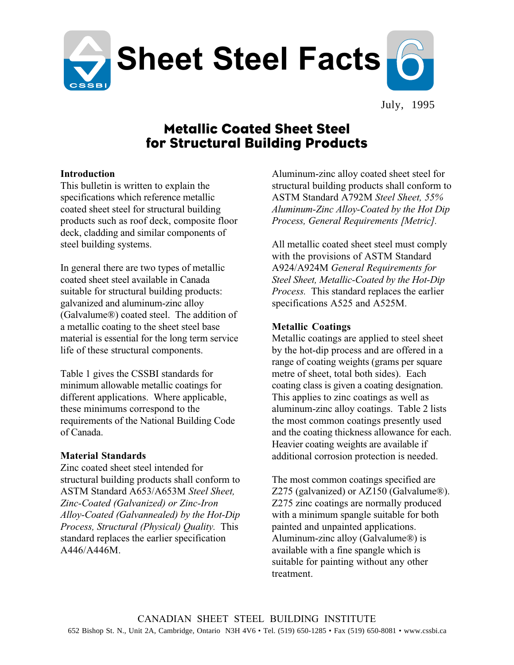

July, 1995

# Metallic Coated Sheet Steel for Structural Building Products

## **Introduction**

This bulletin is written to explain the specifications which reference metallic coated sheet steel for structural building products such as roof deck, composite floor deck, cladding and similar components of steel building systems.

In general there are two types of metallic coated sheet steel available in Canada suitable for structural building products: galvanized and aluminum-zinc alloy (Galvalume®) coated steel. The addition of a metallic coating to the sheet steel base material is essential for the long term service life of these structural components.

Table 1 gives the CSSBI standards for minimum allowable metallic coatings for different applications. Where applicable, these minimums correspond to the requirements of the National Building Code of Canada.

# **Material Standards**

Zinc coated sheet steel intended for structural building products shall conform to ASTM Standard A653/A653M *Steel Sheet, Zinc-Coated (Galvanized) or Zinc-Iron Alloy-Coated (Galvannealed) by the Hot-Dip Process, Structural (Physical) Quality.* This standard replaces the earlier specification A446/A446M.

Aluminum-zinc alloy coated sheet steel for structural building products shall conform to ASTM Standard A792M *Steel Sheet, 55% Aluminum-Zinc Alloy-Coated by the Hot Dip Process, General Requirements [Metric].*

All metallic coated sheet steel must comply with the provisions of ASTM Standard A924/A924M *General Requirements for Steel Sheet, Metallic-Coated by the Hot-Dip Process.* This standard replaces the earlier specifications A525 and A525M.

# **Metallic Coatings**

Metallic coatings are applied to steel sheet by the hot-dip process and are offered in a range of coating weights (grams per square metre of sheet, total both sides). Each coating class is given a coating designation. This applies to zinc coatings as well as aluminum-zinc alloy coatings. Table 2 lists the most common coatings presently used and the coating thickness allowance for each. Heavier coating weights are available if additional corrosion protection is needed.

The most common coatings specified are Z275 (galvanized) or AZ150 (Galvalume®). Z275 zinc coatings are normally produced with a minimum spangle suitable for both painted and unpainted applications. Aluminum-zinc alloy (Galvalume®) is available with a fine spangle which is suitable for painting without any other treatment.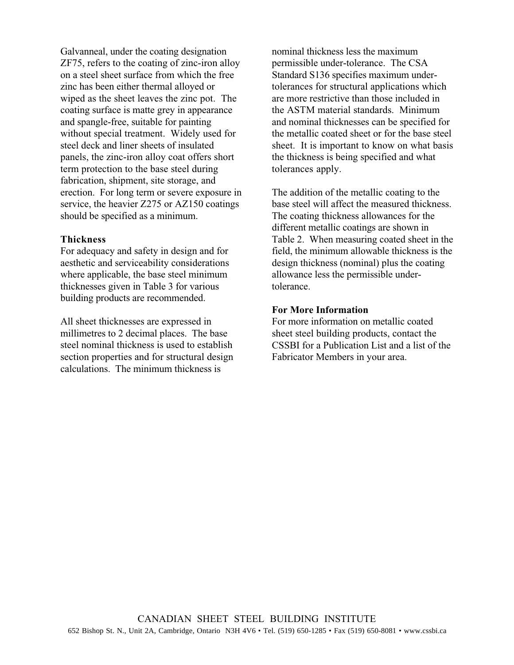Galvanneal, under the coating designation ZF75, refers to the coating of zinc-iron alloy on a steel sheet surface from which the free zinc has been either thermal alloyed or wiped as the sheet leaves the zinc pot. The coating surface is matte grey in appearance and spangle-free, suitable for painting without special treatment. Widely used for steel deck and liner sheets of insulated panels, the zinc-iron alloy coat offers short term protection to the base steel during fabrication, shipment, site storage, and erection. For long term or severe exposure in service, the heavier Z275 or AZ150 coatings should be specified as a minimum.

#### **Thickness**

For adequacy and safety in design and for aesthetic and serviceability considerations where applicable, the base steel minimum thicknesses given in Table 3 for various building products are recommended.

All sheet thicknesses are expressed in millimetres to 2 decimal places. The base steel nominal thickness is used to establish section properties and for structural design calculations. The minimum thickness is

nominal thickness less the maximum permissible under-tolerance. The CSA Standard S136 specifies maximum undertolerances for structural applications which are more restrictive than those included in the ASTM material standards. Minimum and nominal thicknesses can be specified for the metallic coated sheet or for the base steel sheet. It is important to know on what basis the thickness is being specified and what tolerances apply.

The addition of the metallic coating to the base steel will affect the measured thickness. The coating thickness allowances for the different metallic coatings are shown in Table 2. When measuring coated sheet in the field, the minimum allowable thickness is the design thickness (nominal) plus the coating allowance less the permissible undertolerance.

## **For More Information**

For more information on metallic coated sheet steel building products, contact the CSSBI for a Publication List and a list of the Fabricator Members in your area.